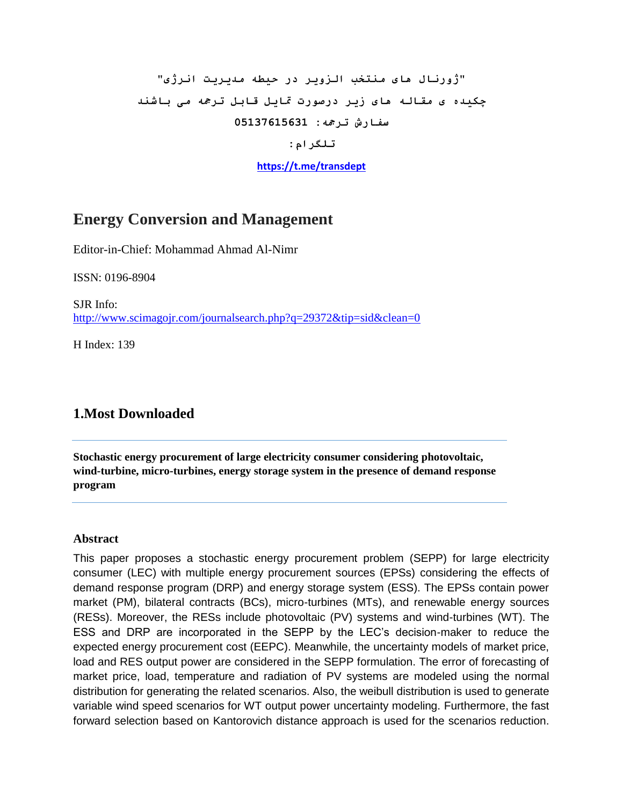# **"ژورنال ىای منتخب السویر در حیطو مذیریت انرژی" چکیذه ی مقالو ىای زیر درصورت متایل قابل ترمجو می باشنذ سفارش ترمجو: 05137615631**

**تلگرام:**

**<https://t.me/transdept>**

## **Energy Conversion and Management**

Editor-in-Chief: [Mohammad Ahmad Al-Nimr](https://www.journals.elsevier.com/energy-conversion-and-management/editorial-board/mohammad-ahmad-al-nimr)

ISSN: 0196-8904

SJR Info: <http://www.scimagojr.com/journalsearch.php?q=29372&tip=sid&clean=0>

H Index: 139

### **1.Most Downloaded**

**Stochastic energy procurement of large electricity consumer considering photovoltaic, wind-turbine, micro-turbines, energy storage system in the presence of demand response program**

#### **Abstract**

This paper proposes a stochastic energy procurement problem (SEPP) for large electricity consumer (LEC) with multiple energy procurement sources (EPSs) considering the effects of demand response program (DRP) and energy storage system (ESS). The EPSs contain power market (PM), bilateral contracts (BCs), micro-turbines (MTs), and renewable energy sources (RESs). Moreover, the RESs include photovoltaic (PV) systems and wind-turbines (WT). The ESS and DRP are incorporated in the SEPP by the LEC's decision-maker to reduce the expected energy procurement cost (EEPC). Meanwhile, the uncertainty models of market price, load and RES output power are considered in the SEPP formulation. The error of forecasting of market price, load, temperature and radiation of PV systems are modeled using the normal distribution for generating the related scenarios. Also, the weibull distribution is used to generate variable wind speed scenarios for WT output power uncertainty modeling. Furthermore, the fast forward selection based on Kantorovich distance approach is used for the scenarios reduction.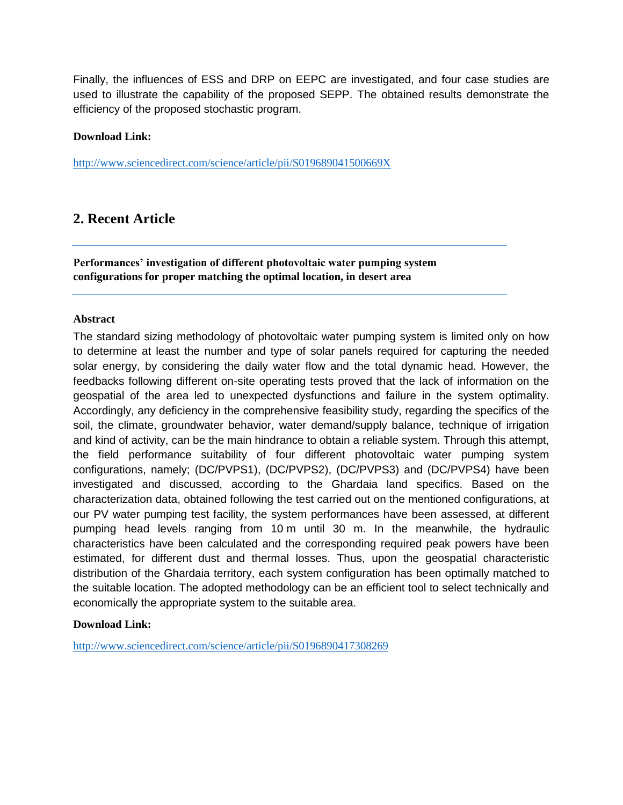Finally, the influences of ESS and DRP on EEPC are investigated, and four case studies are used to illustrate the capability of the proposed SEPP. The obtained results demonstrate the efficiency of the proposed stochastic program.

#### **Download Link:**

<http://www.sciencedirect.com/science/article/pii/S019689041500669X>

### **2. Recent Article**

**Performances' investigation of different photovoltaic water pumping system configurations for proper matching the optimal location, in desert area**

#### **Abstract**

The standard sizing methodology of photovoltaic water pumping system is limited only on how to determine at least the number and type of solar panels required for capturing the needed solar energy, by considering the daily water flow and the total dynamic head. However, the feedbacks following different on-site operating tests proved that the lack of information on the geospatial of the area led to unexpected dysfunctions and failure in the system optimality. Accordingly, any deficiency in the comprehensive feasibility study, regarding the specifics of the soil, the climate, groundwater behavior, water demand/supply balance, technique of irrigation and kind of activity, can be the main hindrance to obtain a reliable system. Through this attempt, the field performance suitability of four different photovoltaic water pumping system configurations, namely; (DC/PVPS1), (DC/PVPS2), (DC/PVPS3) and (DC/PVPS4) have been investigated and discussed, according to the Ghardaia land specifics. Based on the characterization data, obtained following the test carried out on the mentioned configurations, at our PV water pumping test facility, the system performances have been assessed, at different pumping head levels ranging from 10 m until 30 m. In the meanwhile, the hydraulic characteristics have been calculated and the corresponding required peak powers have been estimated, for different dust and thermal losses. Thus, upon the geospatial characteristic distribution of the Ghardaia territory, each system configuration has been optimally matched to the suitable location. The adopted methodology can be an efficient tool to select technically and economically the appropriate system to the suitable area.

#### **Download Link:**

<http://www.sciencedirect.com/science/article/pii/S0196890417308269>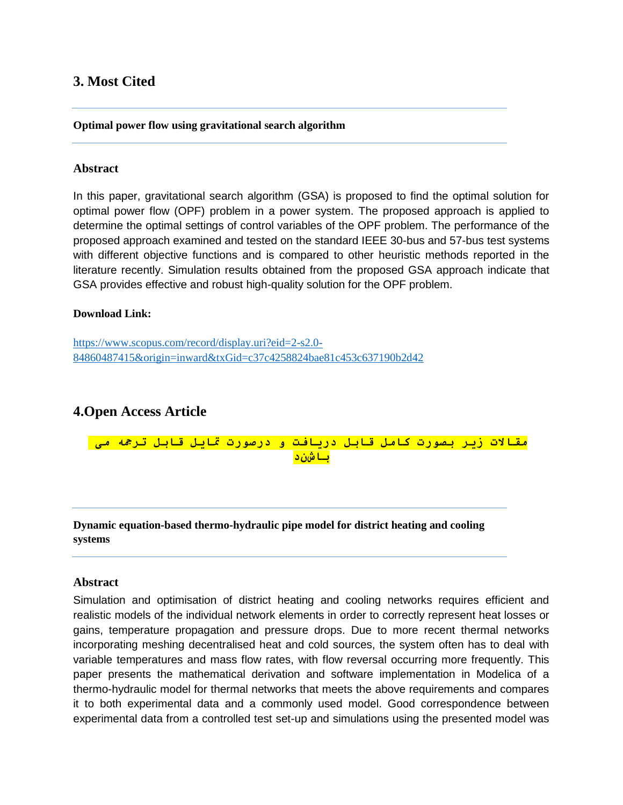### **3. Most Cited**

**Optimal power flow using gravitational search algorithm**

#### **Abstract**

In this paper, gravitational search algorithm (GSA) is proposed to find the optimal solution for optimal power flow (OPF) problem in a power system. The proposed approach is applied to determine the optimal settings of control variables of the OPF problem. The performance of the proposed approach examined and tested on the standard IEEE 30-bus and 57-bus test systems with different objective functions and is compared to other heuristic methods reported in the literature recently. Simulation results obtained from the proposed GSA approach indicate that GSA provides effective and robust high-quality solution for the OPF problem.

#### **Download Link:**

[https://www.scopus.com/record/display.uri?eid=2-s2.0-](https://www.scopus.com/record/display.uri?eid=2-s2.0-84860487415&origin=inward&txGid=c37c4258824bae81c453c637190b2d42) [84860487415&origin=inward&txGid=c37c4258824bae81c453c637190b2d42](https://www.scopus.com/record/display.uri?eid=2-s2.0-84860487415&origin=inward&txGid=c37c4258824bae81c453c637190b2d42)

### **4.Open Access Article**

**مقاالت زیر بصورت کامل قابل دریافت و درصورت متایل قابل ترمجو می باشند**

**Dynamic equation-based thermo-hydraulic pipe model for district heating and cooling systems**

#### **Abstract**

Simulation and optimisation of district heating and cooling networks requires efficient and realistic models of the individual network elements in order to correctly represent heat losses or gains, temperature propagation and pressure drops. Due to more recent thermal networks incorporating meshing decentralised heat and cold sources, the system often has to deal with variable temperatures and mass flow rates, with flow reversal occurring more frequently. This paper presents the mathematical derivation and software implementation in Modelica of a thermo-hydraulic model for thermal networks that meets the above requirements and compares it to both experimental data and a commonly used model. Good correspondence between experimental data from a controlled test set-up and simulations using the presented model was